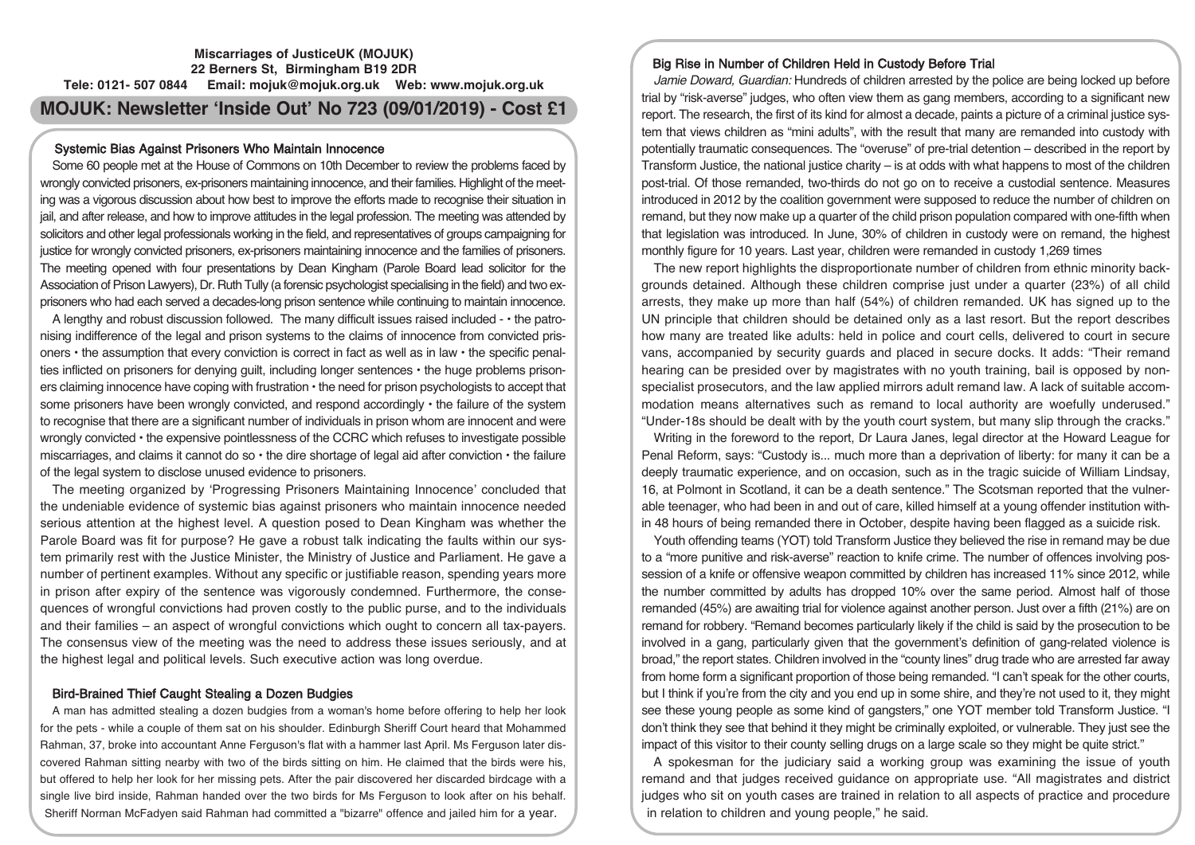# **Miscarriages of JusticeUK (MOJUK) 22 Berners St, Birmingham B19 2DR Tele: 0121- 507 0844 Email: mojuk@mojuk.org.uk Web: www.mojuk.org.uk MOJUK: Newsletter 'Inside Out' No 723 (09/01/2019) - Cost £1**

## Systemic Bias Against Prisoners Who Maintain Innocence

Some 60 people met at the House of Commons on 10th December to review the problems faced by wrongly convicted prisoners, ex-prisoners maintaining innocence, and their families. Highlight of the meeting was a vigorous discussion about how best to improve the efforts made to recognise their situation in jail, and after release, and how to improve attitudes in the legal profession. The meeting was attended by solicitors and other legal professionals working in the field, and representatives of groups campaigning for justice for wrongly convicted prisoners, ex-prisoners maintaining innocence and the families of prisoners. The meeting opened with four presentations by Dean Kingham (Parole Board lead solicitor for the Association of Prison Lawyers), Dr. Ruth Tully (a forensic psychologist specialising in the field) and two exprisoners who had each served a decades-long prison sentence while continuing to maintain innocence.

A lengthy and robust discussion followed. The many difficult issues raised included - • the patronising indifference of the legal and prison systems to the claims of innocence from convicted prisoners • the assumption that every conviction is correct in fact as well as in law • the specific penalties inflicted on prisoners for denying guilt, including longer sentences • the huge problems prisoners claiming innocence have coping with frustration • the need for prison psychologists to accept that some prisoners have been wrongly convicted, and respond accordingly  $\cdot$  the failure of the system to recognise that there are a significant number of individuals in prison whom are innocent and were wrongly convicted • the expensive pointlessness of the CCRC which refuses to investigate possible miscarriages, and claims it cannot do so • the dire shortage of legal aid after conviction • the failure of the legal system to disclose unused evidence to prisoners.

The meeting organized by 'Progressing Prisoners Maintaining Innocence' concluded that the undeniable evidence of systemic bias against prisoners who maintain innocence needed serious attention at the highest level. A question posed to Dean Kingham was whether the Parole Board was fit for purpose? He gave a robust talk indicating the faults within our system primarily rest with the Justice Minister, the Ministry of Justice and Parliament. He gave a number of pertinent examples. Without any specific or justifiable reason, spending years more in prison after expiry of the sentence was vigorously condemned. Furthermore, the consequences of wrongful convictions had proven costly to the public purse, and to the individuals and their families – an aspect of wrongful convictions which ought to concern all tax-payers. The consensus view of the meeting was the need to address these issues seriously, and at the highest legal and political levels. Such executive action was long overdue.

### Bird-Brained Thief Caught Stealing a Dozen Budgies

A man has admitted stealing a dozen budgies from a woman's home before offering to help her look for the pets - while a couple of them sat on his shoulder. Edinburgh Sheriff Court heard that Mohammed Rahman, 37, broke into accountant Anne Ferguson's flat with a hammer last April. Ms Ferguson later discovered Rahman sitting nearby with two of the birds sitting on him. He claimed that the birds were his, but offered to help her look for her missing pets. After the pair discovered her discarded birdcage with a single live bird inside, Rahman handed over the two birds for Ms Ferguson to look after on his behalf. Sheriff Norman McFadyen said Rahman had committed a "bizarre" offence and jailed him for a year.

## Big Rise in Number of Children Held in Custody Before Trial

Jamie Doward, Guardian: Hundreds of children arrested by the police are being locked up before trial by "risk-averse" judges, who often view them as gang members, according to a significant new report. The research, the first of its kind for almost a decade, paints a picture of a criminal justice system that views children as "mini adults", with the result that many are remanded into custody with potentially traumatic consequences. The "overuse" of pre-trial detention – described in the report by Transform Justice, the national justice charity – is at odds with what happens to most of the children post-trial. Of those remanded, two-thirds do not go on to receive a custodial sentence. Measures introduced in 2012 by the coalition government were supposed to reduce the number of children on remand, but they now make up a quarter of the child prison population compared with one-fifth when that legislation was introduced. In June, 30% of children in custody were on remand, the highest monthly figure for 10 years. Last year, children were remanded in custody 1,269 times

The new report highlights the disproportionate number of children from ethnic minority backgrounds detained. Although these children comprise just under a quarter (23%) of all child arrests, they make up more than half (54%) of children remanded. UK has signed up to the UN principle that children should be detained only as a last resort. But the report describes how many are treated like adults: held in police and court cells, delivered to court in secure vans, accompanied by security guards and placed in secure docks. It adds: "Their remand hearing can be presided over by magistrates with no youth training, bail is opposed by nonspecialist prosecutors, and the law applied mirrors adult remand law. A lack of suitable accommodation means alternatives such as remand to local authority are woefully underused." "Under-18s should be dealt with by the youth court system, but many slip through the cracks."

Writing in the foreword to the report, Dr Laura Janes, legal director at the Howard League for Penal Reform, says: "Custody is... much more than a deprivation of liberty: for many it can be a deeply traumatic experience, and on occasion, such as in the tragic suicide of William Lindsay, 16, at Polmont in Scotland, it can be a death sentence." The Scotsman reported that the vulnerable teenager, who had been in and out of care, killed himself at a young offender institution within 48 hours of being remanded there in October, despite having been flagged as a suicide risk.

Youth offending teams (YOT) told Transform Justice they believed the rise in remand may be due to a "more punitive and risk-averse" reaction to knife crime. The number of offences involving possession of a knife or offensive weapon committed by children has increased 11% since 2012, while the number committed by adults has dropped 10% over the same period. Almost half of those remanded (45%) are awaiting trial for violence against another person. Just over a fifth (21%) are on remand for robbery. "Remand becomes particularly likely if the child is said by the prosecution to be involved in a gang, particularly given that the government's definition of gang-related violence is broad," the report states. Children involved in the "county lines" drug trade who are arrested far away from home form a significant proportion of those being remanded. "I can't speak for the other courts, but I think if you're from the city and you end up in some shire, and they're not used to it, they might see these young people as some kind of gangsters," one YOT member told Transform Justice. "I don't think they see that behind it they might be criminally exploited, or vulnerable. They just see the impact of this visitor to their county selling drugs on a large scale so they might be quite strict."

A spokesman for the judiciary said a working group was examining the issue of youth remand and that judges received guidance on appropriate use. "All magistrates and district judges who sit on youth cases are trained in relation to all aspects of practice and procedure in relation to children and young people," he said.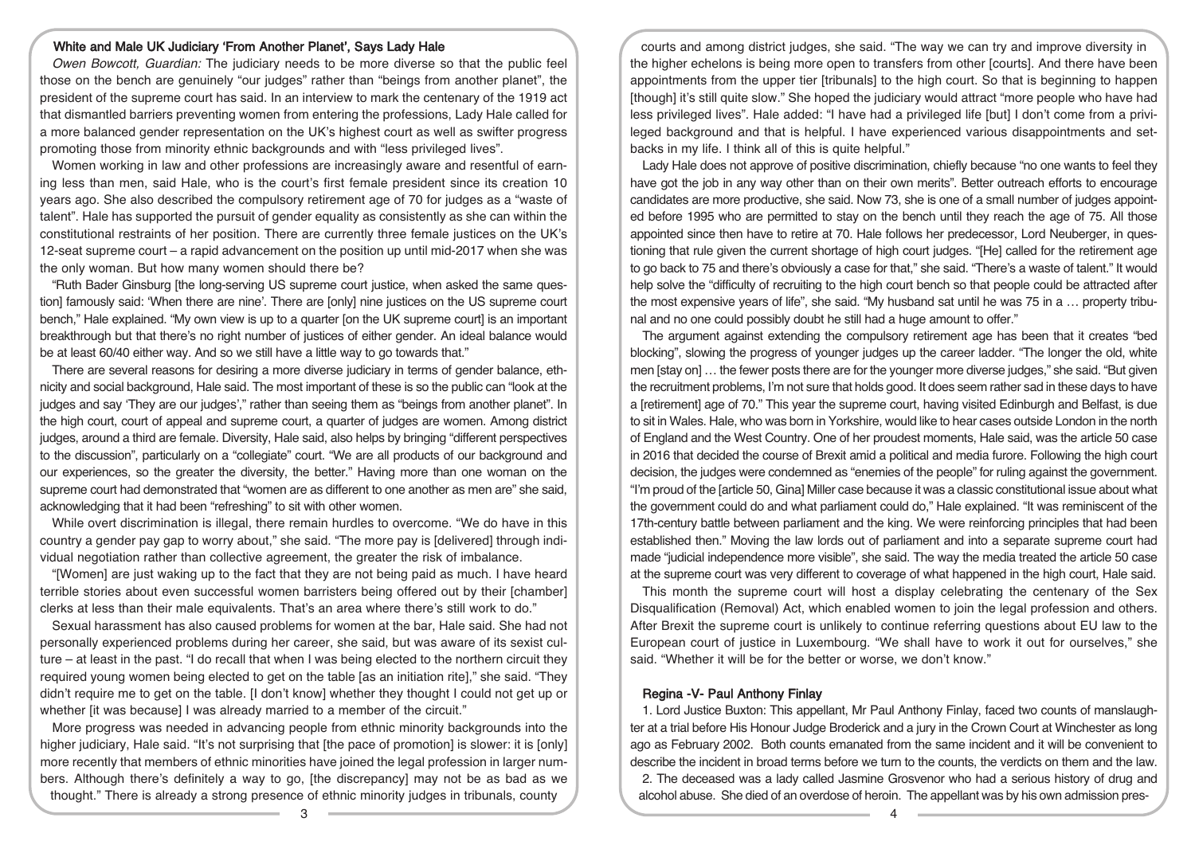### White and Male UK Judiciary 'From Another Planet', Says Lady Hale

Owen Bowcott, Guardian: The judiciary needs to be more diverse so that the public feel those on the bench are genuinely "our judges" rather than "beings from another planet", the president of the supreme court has said. In an interview to mark the centenary of the 1919 act that dismantled barriers preventing women from entering the professions, Lady Hale called for a more balanced gender representation on the UK's highest court as well as swifter progress promoting those from minority ethnic backgrounds and with "less privileged lives".

Women working in law and other professions are increasingly aware and resentful of earning less than men, said Hale, who is the court's first female president since its creation 10 years ago. She also described the compulsory retirement age of 70 for judges as a "waste of talent". Hale has supported the pursuit of gender equality as consistently as she can within the constitutional restraints of her position. There are currently three female justices on the UK's 12-seat supreme court – a rapid advancement on the position up until mid-2017 when she was the only woman. But how many women should there be?

"Ruth Bader Ginsburg [the long-serving US supreme court justice, when asked the same question] famously said: 'When there are nine'. There are [only] nine justices on the US supreme court bench," Hale explained. "My own view is up to a quarter [on the UK supreme court] is an important breakthrough but that there's no right number of justices of either gender. An ideal balance would be at least 60/40 either way. And so we still have a little way to go towards that."

There are several reasons for desiring a more diverse judiciary in terms of gender balance, ethnicity and social background, Hale said. The most important of these is so the public can "look at the judges and say 'They are our judges'," rather than seeing them as "beings from another planet". In the high court, court of appeal and supreme court, a quarter of judges are women. Among district judges, around a third are female. Diversity, Hale said, also helps by bringing "different perspectives to the discussion", particularly on a "collegiate" court. "We are all products of our background and our experiences, so the greater the diversity, the better." Having more than one woman on the supreme court had demonstrated that "women are as different to one another as men are" she said, acknowledging that it had been "refreshing" to sit with other women.

While overt discrimination is illegal, there remain hurdles to overcome. "We do have in this country a gender pay gap to worry about," she said. "The more pay is [delivered] through individual negotiation rather than collective agreement, the greater the risk of imbalance.

"[Women] are just waking up to the fact that they are not being paid as much. I have heard terrible stories about even successful women barristers being offered out by their [chamber] clerks at less than their male equivalents. That's an area where there's still work to do."

Sexual harassment has also caused problems for women at the bar, Hale said. She had not personally experienced problems during her career, she said, but was aware of its sexist culture – at least in the past. "I do recall that when I was being elected to the northern circuit they required young women being elected to get on the table [as an initiation rite]," she said. "They didn't require me to get on the table. [I don't know] whether they thought I could not get up or whether [it was because] I was already married to a member of the circuit."

More progress was needed in advancing people from ethnic minority backgrounds into the higher judiciary. Hale said. "It's not surprising that [the pace of promotion] is slower: it is [only] more recently that members of ethnic minorities have joined the legal profession in larger numbers. Although there's definitely a way to go, [the discrepancy] may not be as bad as we thought." There is already a strong presence of ethnic minority judges in tribunals, county

courts and among district judges, she said. "The way we can try and improve diversity in the higher echelons is being more open to transfers from other [courts]. And there have been appointments from the upper tier [tribunals] to the high court. So that is beginning to happen [though] it's still quite slow." She hoped the judiciary would attract "more people who have had less privileged lives". Hale added: "I have had a privileged life [but] I don't come from a privileged background and that is helpful. I have experienced various disappointments and setbacks in my life. I think all of this is quite helpful."

Lady Hale does not approve of positive discrimination, chiefly because "no one wants to feel they have got the job in any way other than on their own merits". Better outreach efforts to encourage candidates are more productive, she said. Now 73, she is one of a small number of judges appointed before 1995 who are permitted to stay on the bench until they reach the age of 75. All those appointed since then have to retire at 70. Hale follows her predecessor, Lord Neuberger, in questioning that rule given the current shortage of high court judges. "[He] called for the retirement age to go back to 75 and there's obviously a case for that," she said. "There's a waste of talent." It would help solve the "difficulty of recruiting to the high court bench so that people could be attracted after the most expensive years of life", she said. "My husband sat until he was 75 in a … property tribunal and no one could possibly doubt he still had a huge amount to offer."

The argument against extending the compulsory retirement age has been that it creates "bed blocking", slowing the progress of younger judges up the career ladder. "The longer the old, white men [stay on] … the fewer posts there are for the younger more diverse judges," she said. "But given the recruitment problems, I'm not sure that holds good. It does seem rather sad in these days to have a [retirement] age of 70." This year the supreme court, having visited Edinburgh and Belfast, is due to sit in Wales. Hale, who was born in Yorkshire, would like to hear cases outside London in the north of England and the West Country. One of her proudest moments, Hale said, was the article 50 case in 2016 that decided the course of Brexit amid a political and media furore. Following the high court decision, the judges were condemned as "enemies of the people" for ruling against the government. "I'm proud of the [article 50, Gina] Miller case because it was a classic constitutional issue about what the government could do and what parliament could do," Hale explained. "It was reminiscent of the 17th-century battle between parliament and the king. We were reinforcing principles that had been established then." Moving the law lords out of parliament and into a separate supreme court had made "judicial independence more visible", she said. The way the media treated the article 50 case at the supreme court was very different to coverage of what happened in the high court, Hale said.

This month the supreme court will host a display celebrating the centenary of the Sex Disqualification (Removal) Act, which enabled women to join the legal profession and others. After Brexit the supreme court is unlikely to continue referring questions about EU law to the European court of justice in Luxembourg. "We shall have to work it out for ourselves," she said. "Whether it will be for the better or worse, we don't know."

#### Regina -V- Paul Anthony Finlay

1. Lord Justice Buxton: This appellant, Mr Paul Anthony Finlay, faced two counts of manslaughter at a trial before His Honour Judge Broderick and a jury in the Crown Court at Winchester as long ago as February 2002. Both counts emanated from the same incident and it will be convenient to describe the incident in broad terms before we turn to the counts, the verdicts on them and the law. 2. The deceased was a lady called Jasmine Grosvenor who had a serious history of drug and alcohol abuse. She died of an overdose of heroin. The appellant was by his own admission pres-

 $\overline{3}$   $\overline{4}$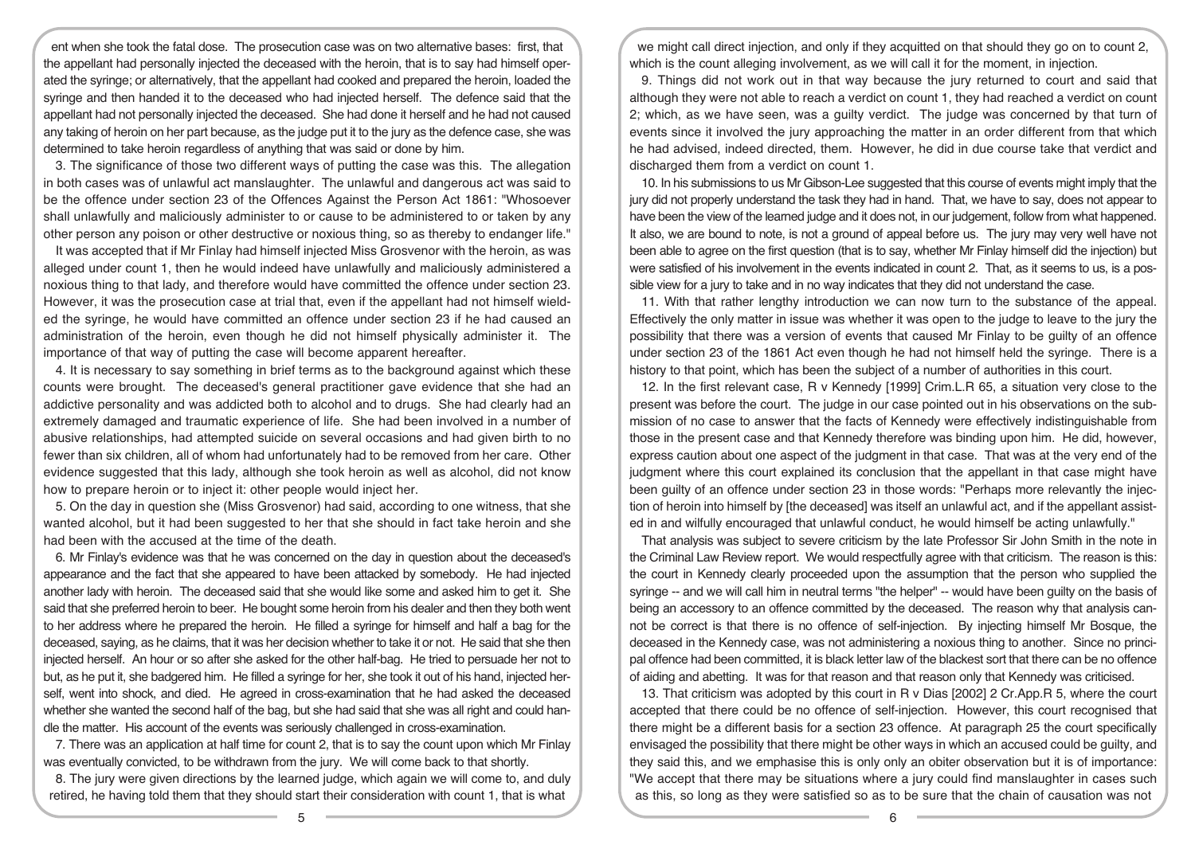ent when she took the fatal dose. The prosecution case was on two alternative bases: first, that the appellant had personally injected the deceased with the heroin, that is to say had himself operated the syringe; or alternatively, that the appellant had cooked and prepared the heroin, loaded the syringe and then handed it to the deceased who had injected herself. The defence said that the appellant had not personally injected the deceased. She had done it herself and he had not caused any taking of heroin on her part because, as the judge put it to the jury as the defence case, she was determined to take heroin regardless of anything that was said or done by him.

3. The significance of those two different ways of putting the case was this. The allegation in both cases was of unlawful act manslaughter. The unlawful and dangerous act was said to be the offence under section 23 of the Offences Against the Person Act 1861: "Whosoever shall unlawfully and maliciously administer to or cause to be administered to or taken by any other person any poison or other destructive or noxious thing, so as thereby to endanger life."

It was accepted that if Mr Finlay had himself injected Miss Grosvenor with the heroin, as was alleged under count 1, then he would indeed have unlawfully and maliciously administered a noxious thing to that lady, and therefore would have committed the offence under section 23. However, it was the prosecution case at trial that, even if the appellant had not himself wielded the syringe, he would have committed an offence under section 23 if he had caused an administration of the heroin, even though he did not himself physically administer it. The importance of that way of putting the case will become apparent hereafter.

4. It is necessary to say something in brief terms as to the background against which these counts were brought. The deceased's general practitioner gave evidence that she had an addictive personality and was addicted both to alcohol and to drugs. She had clearly had an extremely damaged and traumatic experience of life. She had been involved in a number of abusive relationships, had attempted suicide on several occasions and had given birth to no fewer than six children, all of whom had unfortunately had to be removed from her care. Other evidence suggested that this lady, although she took heroin as well as alcohol, did not know how to prepare heroin or to inject it: other people would inject her.

5. On the day in question she (Miss Grosvenor) had said, according to one witness, that she wanted alcohol, but it had been suggested to her that she should in fact take heroin and she had been with the accused at the time of the death.

6. Mr Finlay's evidence was that he was concerned on the day in question about the deceased's appearance and the fact that she appeared to have been attacked by somebody. He had injected another lady with heroin. The deceased said that she would like some and asked him to get it. She said that she preferred heroin to beer. He bought some heroin from his dealer and then they both went to her address where he prepared the heroin. He filled a syringe for himself and half a bag for the deceased, saying, as he claims, that it was her decision whether to take it or not. He said that she then injected herself. An hour or so after she asked for the other half-bag. He tried to persuade her not to but, as he put it, she badgered him. He filled a syringe for her, she took it out of his hand, injected herself, went into shock, and died. He agreed in cross-examination that he had asked the deceased whether she wanted the second half of the bag, but she had said that she was all right and could handle the matter. His account of the events was seriously challenged in cross-examination.

7. There was an application at half time for count 2, that is to say the count upon which Mr Finlay was eventually convicted, to be withdrawn from the jury. We will come back to that shortly.

8. The jury were given directions by the learned judge, which again we will come to, and duly retired, he having told them that they should start their consideration with count 1, that is what

we might call direct injection, and only if they acquitted on that should they go on to count 2, which is the count alleging involvement, as we will call it for the moment, in injection.

9. Things did not work out in that way because the jury returned to court and said that although they were not able to reach a verdict on count 1, they had reached a verdict on count 2; which, as we have seen, was a guilty verdict. The judge was concerned by that turn of events since it involved the jury approaching the matter in an order different from that which he had advised, indeed directed, them. However, he did in due course take that verdict and discharged them from a verdict on count 1.

10. In his submissions to us Mr Gibson-Lee suggested that this course of events might imply that the jury did not properly understand the task they had in hand. That, we have to say, does not appear to have been the view of the learned judge and it does not, in our judgement, follow from what happened. It also, we are bound to note, is not a ground of appeal before us. The jury may very well have not been able to agree on the first question (that is to say, whether Mr Finlay himself did the injection) but were satisfied of his involvement in the events indicated in count 2. That, as it seems to us, is a possible view for a jury to take and in no way indicates that they did not understand the case.

11. With that rather lengthy introduction we can now turn to the substance of the appeal. Effectively the only matter in issue was whether it was open to the judge to leave to the jury the possibility that there was a version of events that caused Mr Finlay to be guilty of an offence under section 23 of the 1861 Act even though he had not himself held the syringe. There is a history to that point, which has been the subject of a number of authorities in this court.

12. In the first relevant case, R v Kennedy [1999] Crim.L.R 65, a situation very close to the present was before the court. The judge in our case pointed out in his observations on the submission of no case to answer that the facts of Kennedy were effectively indistinguishable from those in the present case and that Kennedy therefore was binding upon him. He did, however, express caution about one aspect of the judgment in that case. That was at the very end of the judgment where this court explained its conclusion that the appellant in that case might have been guilty of an offence under section 23 in those words: "Perhaps more relevantly the injection of heroin into himself by [the deceased] was itself an unlawful act, and if the appellant assisted in and wilfully encouraged that unlawful conduct, he would himself be acting unlawfully."

That analysis was subject to severe criticism by the late Professor Sir John Smith in the note in the Criminal Law Review report. We would respectfully agree with that criticism. The reason is this: the court in Kennedy clearly proceeded upon the assumption that the person who supplied the syringe -- and we will call him in neutral terms "the helper" -- would have been guilty on the basis of being an accessory to an offence committed by the deceased. The reason why that analysis cannot be correct is that there is no offence of self-injection. By injecting himself Mr Bosque, the deceased in the Kennedy case, was not administering a noxious thing to another. Since no principal offence had been committed, it is black letter law of the blackest sort that there can be no offence of aiding and abetting. It was for that reason and that reason only that Kennedy was criticised.

13. That criticism was adopted by this court in R v Dias [2002] 2 Cr.App.R 5, where the court accepted that there could be no offence of self-injection. However, this court recognised that there might be a different basis for a section 23 offence. At paragraph 25 the court specifically envisaged the possibility that there might be other ways in which an accused could be guilty, and they said this, and we emphasise this is only only an obiter observation but it is of importance: "We accept that there may be situations where a jury could find manslaughter in cases such as this, so long as they were satisfied so as to be sure that the chain of causation was not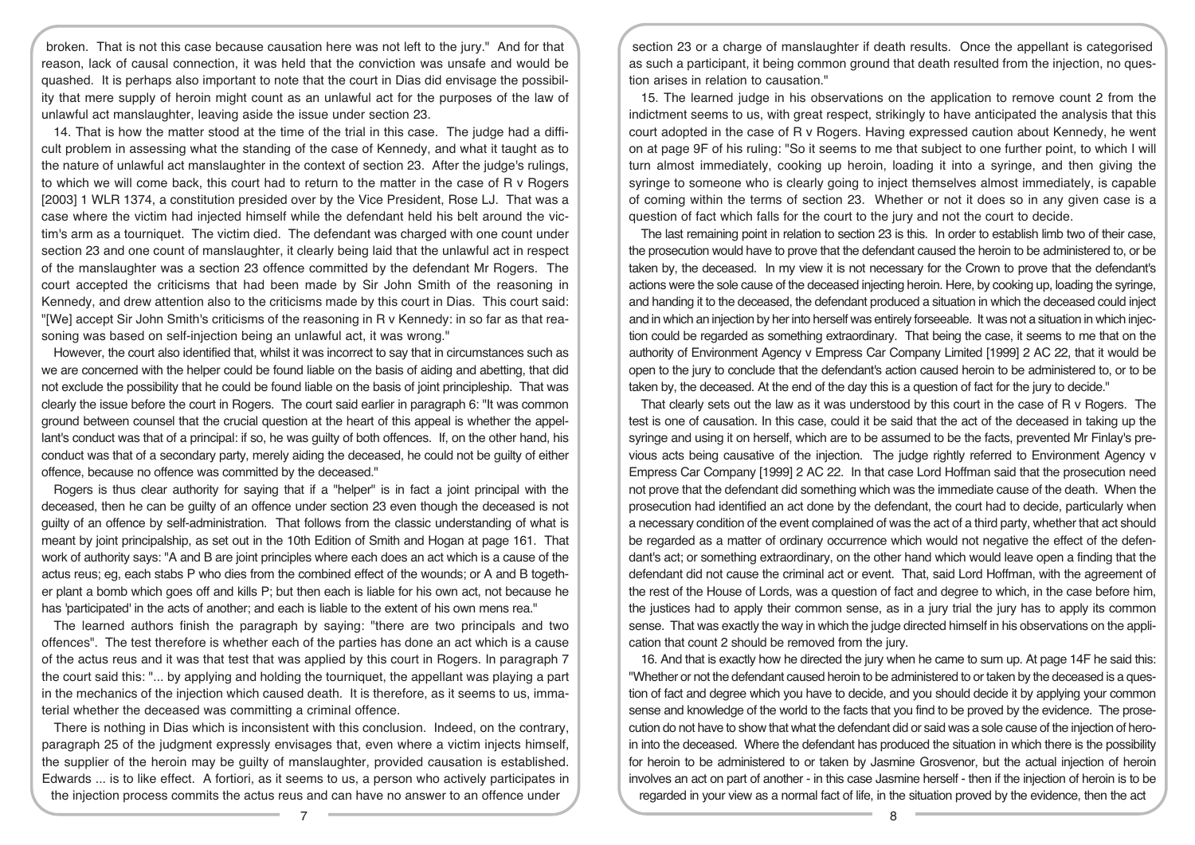broken. That is not this case because causation here was not left to the jury." And for that reason, lack of causal connection, it was held that the conviction was unsafe and would be quashed. It is perhaps also important to note that the court in Dias did envisage the possibility that mere supply of heroin might count as an unlawful act for the purposes of the law of unlawful act manslaughter, leaving aside the issue under section 23.

14. That is how the matter stood at the time of the trial in this case. The judge had a difficult problem in assessing what the standing of the case of Kennedy, and what it taught as to the nature of unlawful act manslaughter in the context of section 23. After the judge's rulings, to which we will come back, this court had to return to the matter in the case of R v Rogers [2003] 1 WLR 1374, a constitution presided over by the Vice President, Rose LJ. That was a case where the victim had injected himself while the defendant held his belt around the victim's arm as a tourniquet. The victim died. The defendant was charged with one count under section 23 and one count of manslaughter, it clearly being laid that the unlawful act in respect of the manslaughter was a section 23 offence committed by the defendant Mr Rogers. The court accepted the criticisms that had been made by Sir John Smith of the reasoning in Kennedy, and drew attention also to the criticisms made by this court in Dias. This court said: "[We] accept Sir John Smith's criticisms of the reasoning in R v Kennedy: in so far as that reasoning was based on self-injection being an unlawful act, it was wrong."

However, the court also identified that, whilst it was incorrect to say that in circumstances such as we are concerned with the helper could be found liable on the basis of aiding and abetting, that did not exclude the possibility that he could be found liable on the basis of joint principleship. That was clearly the issue before the court in Rogers. The court said earlier in paragraph 6: "It was common ground between counsel that the crucial question at the heart of this appeal is whether the appellant's conduct was that of a principal: if so, he was guilty of both offences. If, on the other hand, his conduct was that of a secondary party, merely aiding the deceased, he could not be guilty of either offence, because no offence was committed by the deceased."

Rogers is thus clear authority for saying that if a "helper" is in fact a joint principal with the deceased, then he can be guilty of an offence under section 23 even though the deceased is not guilty of an offence by self-administration. That follows from the classic understanding of what is meant by joint principalship, as set out in the 10th Edition of Smith and Hogan at page 161. That work of authority says: "A and B are joint principles where each does an act which is a cause of the actus reus; eg, each stabs P who dies from the combined effect of the wounds; or A and B together plant a bomb which goes off and kills P; but then each is liable for his own act, not because he has 'participated' in the acts of another; and each is liable to the extent of his own mens rea."

The learned authors finish the paragraph by saying: "there are two principals and two offences". The test therefore is whether each of the parties has done an act which is a cause of the actus reus and it was that test that was applied by this court in Rogers. In paragraph 7 the court said this: "... by applying and holding the tourniquet, the appellant was playing a part in the mechanics of the injection which caused death. It is therefore, as it seems to us, immaterial whether the deceased was committing a criminal offence.

There is nothing in Dias which is inconsistent with this conclusion. Indeed, on the contrary, paragraph 25 of the judgment expressly envisages that, even where a victim injects himself, the supplier of the heroin may be guilty of manslaughter, provided causation is established. Edwards ... is to like effect. A fortiori, as it seems to us, a person who actively participates in the injection process commits the actus reus and can have no answer to an offence under

section 23 or a charge of manslaughter if death results. Once the appellant is categorised as such a participant, it being common ground that death resulted from the injection, no question arises in relation to causation."

15. The learned judge in his observations on the application to remove count 2 from the indictment seems to us, with great respect, strikingly to have anticipated the analysis that this court adopted in the case of R v Rogers. Having expressed caution about Kennedy, he went on at page 9F of his ruling: "So it seems to me that subject to one further point, to which I will turn almost immediately, cooking up heroin, loading it into a syringe, and then giving the syringe to someone who is clearly going to inject themselves almost immediately, is capable of coming within the terms of section 23. Whether or not it does so in any given case is a question of fact which falls for the court to the jury and not the court to decide.

The last remaining point in relation to section 23 is this. In order to establish limb two of their case, the prosecution would have to prove that the defendant caused the heroin to be administered to, or be taken by, the deceased. In my view it is not necessary for the Crown to prove that the defendant's actions were the sole cause of the deceased injecting heroin. Here, by cooking up, loading the syringe, and handing it to the deceased, the defendant produced a situation in which the deceased could inject and in which an injection by her into herself was entirely forseeable. It was not a situation in which injection could be regarded as something extraordinary. That being the case, it seems to me that on the authority of Environment Agency v Empress Car Company Limited [1999] 2 AC 22, that it would be open to the jury to conclude that the defendant's action caused heroin to be administered to, or to be taken by, the deceased. At the end of the day this is a question of fact for the jury to decide."

That clearly sets out the law as it was understood by this court in the case of R v Rogers. The test is one of causation. In this case, could it be said that the act of the deceased in taking up the syringe and using it on herself, which are to be assumed to be the facts, prevented Mr Finlay's previous acts being causative of the injection. The judge rightly referred to Environment Agency v Empress Car Company [1999] 2 AC 22. In that case Lord Hoffman said that the prosecution need not prove that the defendant did something which was the immediate cause of the death. When the prosecution had identified an act done by the defendant, the court had to decide, particularly when a necessary condition of the event complained of was the act of a third party, whether that act should be regarded as a matter of ordinary occurrence which would not negative the effect of the defendant's act; or something extraordinary, on the other hand which would leave open a finding that the defendant did not cause the criminal act or event. That, said Lord Hoffman, with the agreement of the rest of the House of Lords, was a question of fact and degree to which, in the case before him, the justices had to apply their common sense, as in a jury trial the jury has to apply its common sense. That was exactly the way in which the judge directed himself in his observations on the application that count 2 should be removed from the jury.

16. And that is exactly how he directed the jury when he came to sum up. At page 14F he said this: "Whether or not the defendant caused heroin to be administered to or taken by the deceased is a question of fact and degree which you have to decide, and you should decide it by applying your common sense and knowledge of the world to the facts that you find to be proved by the evidence. The prosecution do not have to show that what the defendant did or said was a sole cause of the injection of heroin into the deceased. Where the defendant has produced the situation in which there is the possibility for heroin to be administered to or taken by Jasmine Grosvenor, but the actual injection of heroin involves an act on part of another - in this case Jasmine herself - then if the injection of heroin is to be regarded in your view as a normal fact of life, in the situation proved by the evidence, then the act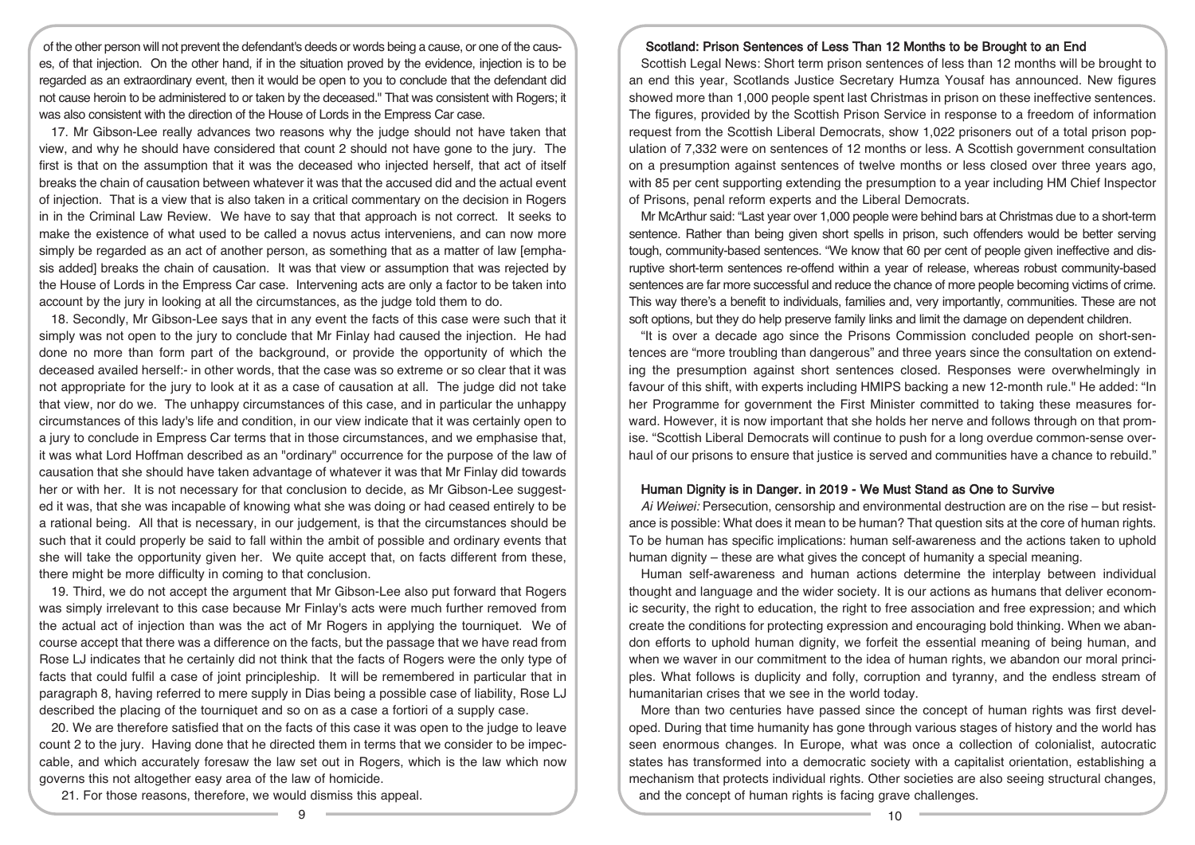of the other person will not prevent the defendant's deeds or words being a cause, or one of the causes, of that injection. On the other hand, if in the situation proved by the evidence, injection is to be regarded as an extraordinary event, then it would be open to you to conclude that the defendant did not cause heroin to be administered to or taken by the deceased." That was consistent with Rogers; it was also consistent with the direction of the House of Lords in the Empress Car case.

17. Mr Gibson-Lee really advances two reasons why the judge should not have taken that view, and why he should have considered that count 2 should not have gone to the jury. The first is that on the assumption that it was the deceased who injected herself, that act of itself breaks the chain of causation between whatever it was that the accused did and the actual event of injection. That is a view that is also taken in a critical commentary on the decision in Rogers in in the Criminal Law Review. We have to say that that approach is not correct. It seeks to make the existence of what used to be called a novus actus interveniens, and can now more simply be regarded as an act of another person, as something that as a matter of law [emphasis added] breaks the chain of causation. It was that view or assumption that was rejected by the House of Lords in the Empress Car case. Intervening acts are only a factor to be taken into account by the jury in looking at all the circumstances, as the judge told them to do.

18. Secondly, Mr Gibson-Lee says that in any event the facts of this case were such that it simply was not open to the jury to conclude that Mr Finlay had caused the injection. He had done no more than form part of the background, or provide the opportunity of which the deceased availed herself:- in other words, that the case was so extreme or so clear that it was not appropriate for the jury to look at it as a case of causation at all. The judge did not take that view, nor do we. The unhappy circumstances of this case, and in particular the unhappy circumstances of this lady's life and condition, in our view indicate that it was certainly open to a jury to conclude in Empress Car terms that in those circumstances, and we emphasise that, it was what Lord Hoffman described as an "ordinary" occurrence for the purpose of the law of causation that she should have taken advantage of whatever it was that Mr Finlay did towards her or with her. It is not necessary for that conclusion to decide, as Mr Gibson-Lee suggested it was, that she was incapable of knowing what she was doing or had ceased entirely to be a rational being. All that is necessary, in our judgement, is that the circumstances should be such that it could properly be said to fall within the ambit of possible and ordinary events that she will take the opportunity given her. We quite accept that, on facts different from these, there might be more difficulty in coming to that conclusion.

19. Third, we do not accept the argument that Mr Gibson-Lee also put forward that Rogers was simply irrelevant to this case because Mr Finlay's acts were much further removed from the actual act of injection than was the act of Mr Rogers in applying the tourniquet. We of course accept that there was a difference on the facts, but the passage that we have read from Rose LJ indicates that he certainly did not think that the facts of Rogers were the only type of facts that could fulfil a case of joint principleship. It will be remembered in particular that in paragraph 8, having referred to mere supply in Dias being a possible case of liability, Rose LJ described the placing of the tourniquet and so on as a case a fortiori of a supply case.

20. We are therefore satisfied that on the facts of this case it was open to the judge to leave count 2 to the jury. Having done that he directed them in terms that we consider to be impeccable, and which accurately foresaw the law set out in Rogers, which is the law which now governs this not altogether easy area of the law of homicide.

21. For those reasons, therefore, we would dismiss this appeal.

#### Scotland: Prison Sentences of Less Than 12 Months to be Brought to an End

Scottish Legal News: Short term prison sentences of less than 12 months will be brought to an end this year, Scotlands Justice Secretary Humza Yousaf has announced. New figures showed more than 1,000 people spent last Christmas in prison on these ineffective sentences. The figures, provided by the Scottish Prison Service in response to a freedom of information request from the Scottish Liberal Democrats, show 1,022 prisoners out of a total prison population of 7,332 were on sentences of 12 months or less. A Scottish government consultation on a presumption against sentences of twelve months or less closed over three years ago, with 85 per cent supporting extending the presumption to a year including HM Chief Inspector of Prisons, penal reform experts and the Liberal Democrats.

Mr McArthur said: "Last year over 1,000 people were behind bars at Christmas due to a short-term sentence. Rather than being given short spells in prison, such offenders would be better serving tough, community-based sentences. "We know that 60 per cent of people given ineffective and disruptive short-term sentences re-offend within a year of release, whereas robust community-based sentences are far more successful and reduce the chance of more people becoming victims of crime. This way there's a benefit to individuals, families and, very importantly, communities. These are not soft options, but they do help preserve family links and limit the damage on dependent children.

"It is over a decade ago since the Prisons Commission concluded people on short-sentences are "more troubling than dangerous" and three years since the consultation on extending the presumption against short sentences closed. Responses were overwhelmingly in favour of this shift, with experts including HMIPS backing a new 12-month rule." He added: "In her Programme for government the First Minister committed to taking these measures forward. However, it is now important that she holds her nerve and follows through on that promise. "Scottish Liberal Democrats will continue to push for a long overdue common-sense overhaul of our prisons to ensure that justice is served and communities have a chance to rebuild."

## Human Dignity is in Danger. in 2019 - We Must Stand as One to Survive

Ai Weiwei: Persecution, censorship and environmental destruction are on the rise – but resistance is possible: What does it mean to be human? That question sits at the core of human rights. To be human has specific implications: human self-awareness and the actions taken to uphold human dignity – these are what gives the concept of humanity a special meaning.

Human self-awareness and human actions determine the interplay between individual thought and language and the wider society. It is our actions as humans that deliver economic security, the right to education, the right to free association and free expression; and which create the conditions for protecting expression and encouraging bold thinking. When we abandon efforts to uphold human dignity, we forfeit the essential meaning of being human, and when we waver in our commitment to the idea of human rights, we abandon our moral principles. What follows is duplicity and folly, corruption and tyranny, and the endless stream of humanitarian crises that we see in the world today.

More than two centuries have passed since the concept of human rights was first developed. During that time humanity has gone through various stages of history and the world has seen enormous changes. In Europe, what was once a collection of colonialist, autocratic states has transformed into a democratic society with a capitalist orientation, establishing a mechanism that protects individual rights. Other societies are also seeing structural changes, and the concept of human rights is facing grave challenges.